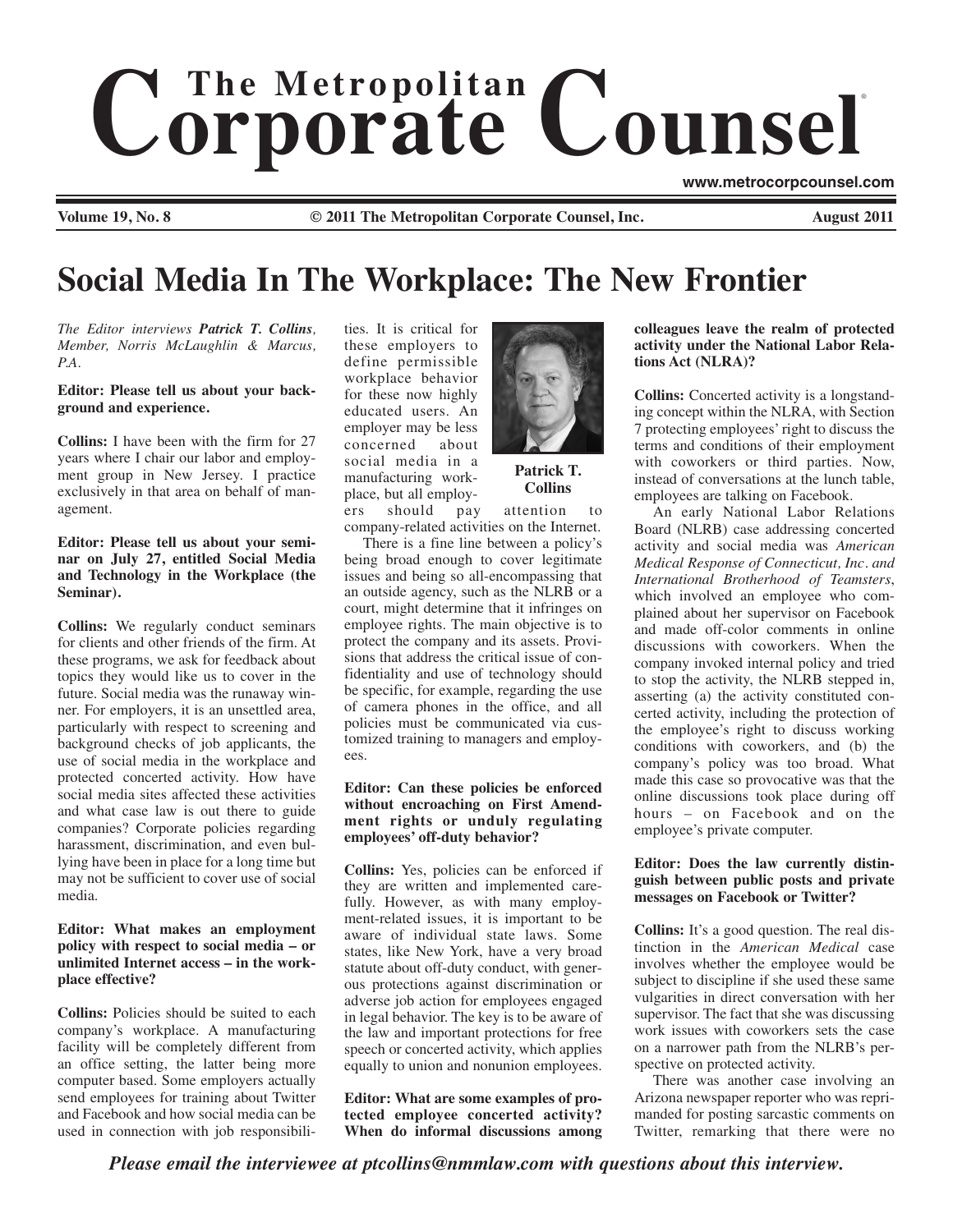# $$ ®

**Volume 19, No. 8 © 2011 The Metropolitan Corporate Counsel, Inc. August 2011**

**www.metrocorpcounsel.com**

# **Social Media In The Workplace: The New Frontier**

*The Editor interviews Patrick T. Collins, Member, Norris McLaughlin & Marcus, P.A.* 

#### **Editor: Please tell us about your background and experience.**

**Collins:** I have been with the firm for 27 years where I chair our labor and employment group in New Jersey. I practice exclusively in that area on behalf of management.

# **Editor: Please tell us about your seminar on July 27, entitled Social Media and Technology in the Workplace (the Seminar).**

**Collins:** We regularly conduct seminars for clients and other friends of the firm. At these programs, we ask for feedback about topics they would like us to cover in the future. Social media was the runaway winner. For employers, it is an unsettled area, particularly with respect to screening and background checks of job applicants, the use of social media in the workplace and protected concerted activity. How have social media sites affected these activities and what case law is out there to guide companies? Corporate policies regarding harassment, discrimination, and even bullying have been in place for a long time but may not be sufficient to cover use of social media.

# **Editor: What makes an employment policy with respect to social media – or unlimited Internet access – in the workplace effective?**

**Collins:** Policies should be suited to each company's workplace. A manufacturing facility will be completely different from an office setting, the latter being more computer based. Some employers actually send employees for training about Twitter and Facebook and how social media can be used in connection with job responsibilities. It is critical for these employers to define permissible workplace behavior for these now highly educated users. An employer may be less<br>concerned about concerned social media in a manufacturing workplace, but all employ-



**Patrick T. Collins**

ers should pay attention to company-related activities on the Internet.

There is a fine line between a policy's being broad enough to cover legitimate issues and being so all-encompassing that an outside agency, such as the NLRB or a court, might determine that it infringes on employee rights. The main objective is to protect the company and its assets. Provisions that address the critical issue of confidentiality and use of technology should be specific, for example, regarding the use of camera phones in the office, and all policies must be communicated via customized training to managers and employees.

# **Editor: Can these policies be enforced without encroaching on First Amendment rights or unduly regulating employees' off-duty behavior?**

**Collins:** Yes, policies can be enforced if they are written and implemented carefully. However, as with many employment-related issues, it is important to be aware of individual state laws. Some states, like New York, have a very broad statute about off-duty conduct, with generous protections against discrimination or adverse job action for employees engaged in legal behavior. The key is to be aware of the law and important protections for free speech or concerted activity, which applies equally to union and nonunion employees.

**Editor: What are some examples of protected employee concerted activity? When do informal discussions among** **colleagues leave the realm of protected activity under the National Labor Relations Act (NLRA)?** 

**Collins:** Concerted activity is a longstanding concept within the NLRA, with Section 7 protecting employees' right to discuss the terms and conditions of their employment with coworkers or third parties. Now, instead of conversations at the lunch table, employees are talking on Facebook.

An early National Labor Relations Board (NLRB) case addressing concerted activity and social media was *American Medical Response of Connecticut, Inc. and International Brotherhood of Teamsters*, which involved an employee who complained about her supervisor on Facebook and made off-color comments in online discussions with coworkers. When the company invoked internal policy and tried to stop the activity, the NLRB stepped in, asserting (a) the activity constituted concerted activity, including the protection of the employee's right to discuss working conditions with coworkers, and (b) the company's policy was too broad. What made this case so provocative was that the online discussions took place during off hours – on Facebook and on the employee's private computer.

#### **Editor: Does the law currently distinguish between public posts and private messages on Facebook or Twitter?**

**Collins:** It's a good question. The real distinction in the *American Medical* case involves whether the employee would be subject to discipline if she used these same vulgarities in direct conversation with her supervisor. The fact that she was discussing work issues with coworkers sets the case on a narrower path from the NLRB's perspective on protected activity.

There was another case involving an Arizona newspaper reporter who was reprimanded for posting sarcastic comments on Twitter, remarking that there were no

*Please email the interviewee at ptcollins@nmmlaw.com with questions about this interview.*